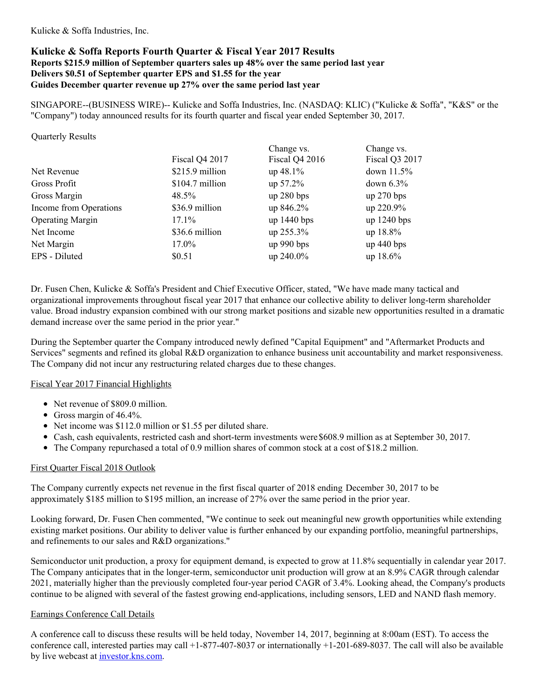Kulicke & Soffa Industries, Inc.

## **Kulicke & Soffa Reports Fourth Quarter & Fiscal Year 2017 Results Reports \$215.9 million of September quarters sales up 48% over the same period last year Delivers \$0.51 of September quarter EPS and \$1.55 for the year Guides December quarter revenue up 27% over the same period last year**

SINGAPORE--(BUSINESS WIRE)-- Kulicke and Soffa Industries, Inc. (NASDAQ: KLIC) ("Kulicke & Soffa", "K&S" or the "Company") today announced results for its fourth quarter and fiscal year ended September 30, 2017.

#### Quarterly Results

|                         |                       | Change vs.            | Change vs.     |
|-------------------------|-----------------------|-----------------------|----------------|
|                         | <b>Fiscal Q4 2017</b> | <b>Fiscal Q4 2016</b> | Fiscal Q3 2017 |
| Net Revenue             | \$215.9 million       | $up\ 48.1\%$          | down $11.5\%$  |
| Gross Profit            | $$104.7$ million      | $up 57.2\%$           | down $6.3\%$   |
| Gross Margin            | 48.5%                 | up $280$ bps          | $up$ 270 bps   |
| Income from Operations  | \$36.9 million        | up 846.2%             | up 220.9%      |
| <b>Operating Margin</b> | $17.1\%$              | up $1440$ bps         | up $1240$ bps  |
| Net Income              | \$36.6 million        | up 255.3%             | $up$ 18.8%     |
| Net Margin              | $17.0\%$              | up 990 bps            | $up$ 440 bps   |
| EPS - Diluted           | \$0.51                | up 240.0%             | $up$ 18.6%     |
|                         |                       |                       |                |

Dr. Fusen Chen, Kulicke & Soffa's President and Chief Executive Officer, stated, "We have made many tactical and organizational improvements throughout fiscal year 2017 that enhance our collective ability to deliver long-term shareholder value. Broad industry expansion combined with our strong market positions and sizable new opportunities resulted in a dramatic demand increase over the same period in the prior year."

During the September quarter the Company introduced newly defined "Capital Equipment" and "Aftermarket Products and Services" segments and refined its global R&D organization to enhance business unit accountability and market responsiveness. The Company did not incur any restructuring related charges due to these changes.

## Fiscal Year 2017 Financial Highlights

- Net revenue of \$809.0 million.
- Gross margin of  $46.4\%$ .
- Net income was \$112.0 million or \$1.55 per diluted share.
- Cash, cash equivalents, restricted cash and short-term investments were\$608.9 million as at September 30, 2017.
- The Company repurchased a total of 0.9 million shares of common stock at a cost of \$18.2 million.

#### First Quarter Fiscal 2018 Outlook

The Company currently expects net revenue in the first fiscal quarter of 2018 ending December 30, 2017 to be approximately \$185 million to \$195 million, an increase of 27% over the same period in the prior year.

Looking forward, Dr. Fusen Chen commented, "We continue to seek out meaningful new growth opportunities while extending existing market positions. Our ability to deliver value is further enhanced by our expanding portfolio, meaningful partnerships, and refinements to our sales and R&D organizations."

Semiconductor unit production, a proxy for equipment demand, is expected to grow at 11.8% sequentially in calendar year 2017. The Company anticipates that in the longer-term, semiconductor unit production will grow at an 8.9% CAGR through calendar 2021, materially higher than the previously completed four-year period CAGR of 3.4%. Looking ahead, the Company's products continue to be aligned with several of the fastest growing end-applications, including sensors, LED and NAND flash memory.

## Earnings Conference Call Details

A conference call to discuss these results will be held today, November 14, 2017, beginning at 8:00am (EST). To access the conference call, interested parties may call +1-877-407-8037 or internationally +1-201-689-8037. The call will also be available by live webcast at [investor.kns.com](http://investor.kns.com/).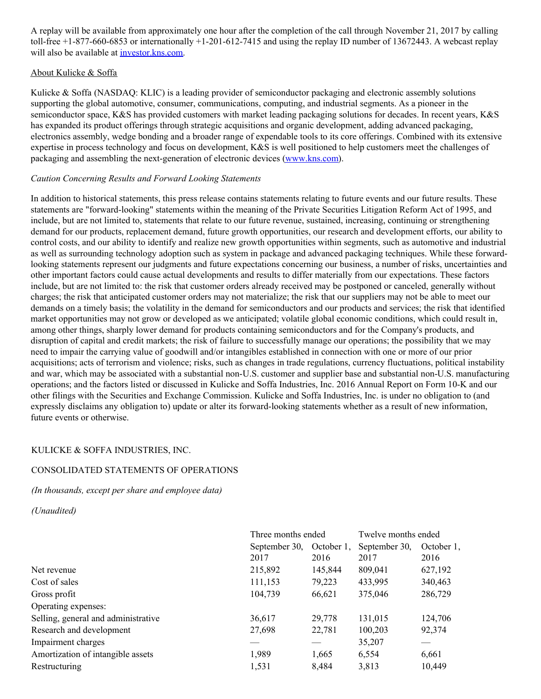A replay will be available from approximately one hour after the completion of the call through November 21, 2017 by calling toll-free  $+1-877-660-6853$  or internationally  $+1-201-612-7415$  and using the replay ID number of 13672443. A webcast replay will also be available at *investor.kns.com*.

#### About Kulicke & Soffa

Kulicke & Soffa (NASDAQ: KLIC) is a leading provider of semiconductor packaging and electronic assembly solutions supporting the global automotive, consumer, communications, computing, and industrial segments. As a pioneer in the semiconductor space, K&S has provided customers with market leading packaging solutions for decades. In recent years, K&S has expanded its product offerings through strategic acquisitions and organic development, adding advanced packaging, electronics assembly, wedge bonding and a broader range of expendable tools to its core offerings. Combined with its extensive expertise in process technology and focus on development, K&S is well positioned to help customers meet the challenges of packaging and assembling the next-generation of electronic devices [\(www.kns.com](http://cts.businesswire.com/ct/CT?id=smartlink&url=http%3A%2F%2Fwww.kns.com&esheet=51716195&newsitemid=20171114005761&lan=en-US&anchor=www.kns.com&index=1&md5=64fa362757a3102f588efe454b5ea3b2)).

### *Caution Concerning Results and Forward Looking Statements*

In addition to historical statements, this press release contains statements relating to future events and our future results. These statements are "forward-looking" statements within the meaning of the Private Securities Litigation Reform Act of 1995, and include, but are not limited to, statements that relate to our future revenue, sustained, increasing, continuing or strengthening demand for our products, replacement demand, future growth opportunities, our research and development efforts, our ability to control costs, and our ability to identify and realize new growth opportunities within segments, such as automotive and industrial as well as surrounding technology adoption such as system in package and advanced packaging techniques. While these forwardlooking statements represent our judgments and future expectations concerning our business, a number of risks, uncertainties and other important factors could cause actual developments and results to differ materially from our expectations. These factors include, but are not limited to: the risk that customer orders already received may be postponed or canceled, generally without charges; the risk that anticipated customer orders may not materialize; the risk that our suppliers may not be able to meet our demands on a timely basis; the volatility in the demand for semiconductors and our products and services; the risk that identified market opportunities may not grow or developed as we anticipated; volatile global economic conditions, which could result in, among other things, sharply lower demand for products containing semiconductors and for the Company's products, and disruption of capital and credit markets; the risk of failure to successfully manage our operations; the possibility that we may need to impair the carrying value of goodwill and/or intangibles established in connection with one or more of our prior acquisitions; acts of terrorism and violence; risks, such as changes in trade regulations, currency fluctuations, political instability and war, which may be associated with a substantial non-U.S. customer and supplier base and substantial non-U.S. manufacturing operations; and the factors listed or discussed in Kulicke and Soffa Industries, Inc. 2016 Annual Report on Form 10-K and our other filings with the Securities and Exchange Commission. Kulicke and Soffa Industries, Inc. is under no obligation to (and expressly disclaims any obligation to) update or alter its forward-looking statements whether as a result of new information, future events or otherwise.

## KULICKE & SOFFA INDUSTRIES, INC.

## CONSOLIDATED STATEMENTS OF OPERATIONS

#### *(In thousands, except per share and employee data)*

*(Unaudited)*

|                                     |                             | Three months ended |               | Twelve months ended |  |
|-------------------------------------|-----------------------------|--------------------|---------------|---------------------|--|
|                                     | September 30,<br>October 1, |                    | September 30, | October 1,          |  |
|                                     | 2017                        | 2016               | 2017          | 2016                |  |
| Net revenue                         | 215,892                     | 145,844            | 809,041       | 627,192             |  |
| Cost of sales                       | 111,153                     | 79,223             | 433,995       | 340,463             |  |
| Gross profit                        | 104,739                     | 66,621             | 375,046       | 286,729             |  |
| Operating expenses:                 |                             |                    |               |                     |  |
| Selling, general and administrative | 36,617                      | 29,778             | 131,015       | 124,706             |  |
| Research and development            | 27,698                      | 22,781             | 100,203       | 92,374              |  |
| Impairment charges                  |                             |                    | 35,207        |                     |  |
| Amortization of intangible assets   | 1,989                       | 1,665              | 6,554         | 6,661               |  |
| Restructuring                       | 1,531                       | 8,484              | 3,813         | 10,449              |  |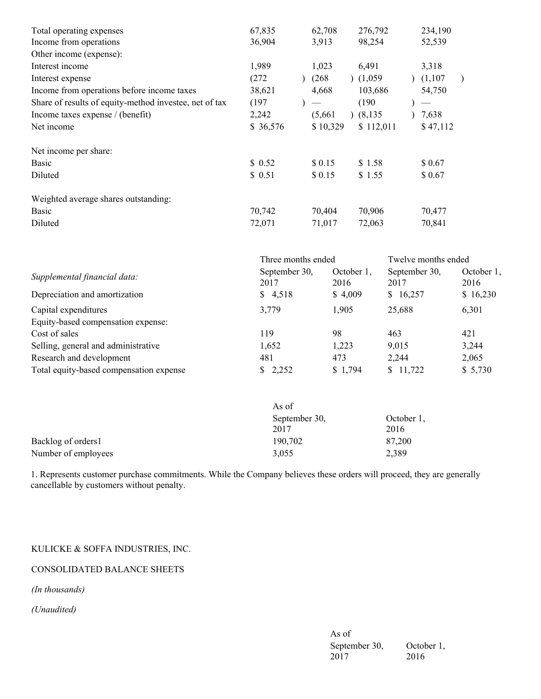| Total operating expenses                               | 67,835   | 62,708                   | 276,792   | 234,190  |
|--------------------------------------------------------|----------|--------------------------|-----------|----------|
| Income from operations                                 | 36,904   | 3,913                    | 98,254    | 52,539   |
| Other income (expense):                                |          |                          |           |          |
| Interest income                                        | 1,989    | 1,023                    | 6,491     | 3,318    |
| Interest expense                                       | (272)    | (268)                    | (1,059)   | (1,107)  |
| Income from operations before income taxes             | 38,621   | 4,668                    | 103,686   | 54,750   |
| Share of results of equity-method investee, net of tax | (197)    | $\overline{\phantom{m}}$ | (190)     |          |
| Income taxes expense / (benefit)                       | 2,242    | (5,661)                  | (8,135)   | 7,638    |
| Net income                                             | \$36,576 | \$10,329                 | \$112,011 | \$47,112 |
| Net income per share:                                  |          |                          |           |          |
| <b>Basic</b>                                           | \$0.52   | \$0.15                   | \$1.58    | \$0.67   |
| Diluted                                                | \$ 0.51  | \$ 0.15                  | \$1.55    | \$0.67   |
| Weighted average shares outstanding:                   |          |                          |           |          |
| Basic                                                  | 70,742   | 70,404                   | 70,906    | 70,477   |
| Diluted                                                | 72,071   | 71,017                   | 72,063    | 70,841   |

|                                         | Three months ended    | Twelve months ended |                       |                    |
|-----------------------------------------|-----------------------|---------------------|-----------------------|--------------------|
| Supplemental financial data:            | September 30,<br>2017 | October 1,<br>2016  | September 30,<br>2017 | October 1,<br>2016 |
| Depreciation and amortization           | \$4,518               | \$4,009             | \$16,257              | \$16,230           |
| Capital expenditures                    | 3,779                 | 1.905               | 25,688                | 6,301              |
| Equity-based compensation expense:      |                       |                     |                       |                    |
| Cost of sales                           | 119                   | 98                  | 463                   | 421                |
| Selling, general and administrative     | 1,652                 | 1,223               | 9,015                 | 3,244              |
| Research and development                | 481                   | 473                 | 2.244                 | 2,065              |
| Total equity-based compensation expense | \$2,252               | \$1,794             | \$11,722              | \$5,730            |

|                     | As of         |            |  |  |
|---------------------|---------------|------------|--|--|
|                     | September 30, | October 1, |  |  |
|                     | 2017          | 2016       |  |  |
| Backlog of orders1  | 190,702       | 87,200     |  |  |
| Number of employees | 3,055         | 2,389      |  |  |

1. Represents customer purchase commitments. While the Company believes these orders will proceed, they are generally cancellable by customers without penalty.

## KULICKE & SOFFA INDUSTRIES, INC.

CONSOLIDATED BALANCE SHEETS

*(In thousands)*

*(Unaudited)*

| As of         |            |
|---------------|------------|
| September 30, | October 1, |
| 2017          | 2016       |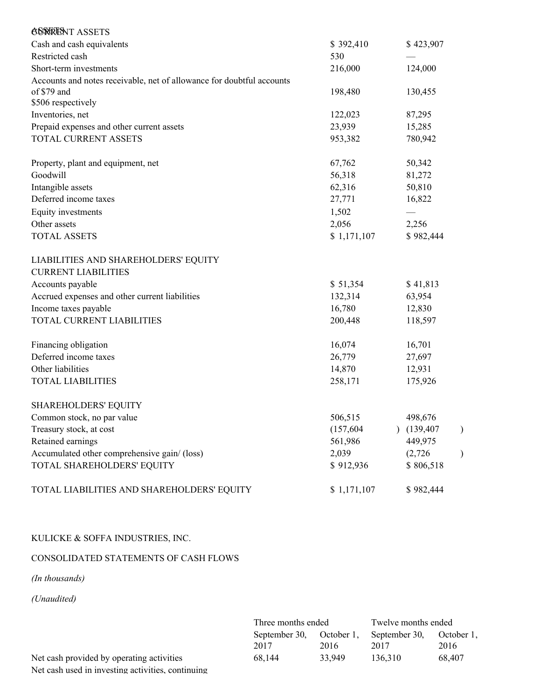| <b>CORRENT ASSETS</b>                                                 |             |            |               |
|-----------------------------------------------------------------------|-------------|------------|---------------|
| Cash and cash equivalents                                             | \$392,410   | \$423,907  |               |
| Restricted cash                                                       | 530         |            |               |
| Short-term investments                                                | 216,000     | 124,000    |               |
| Accounts and notes receivable, net of allowance for doubtful accounts |             |            |               |
| of \$79 and                                                           | 198,480     | 130,455    |               |
| \$506 respectively                                                    |             |            |               |
| Inventories, net                                                      | 122,023     | 87,295     |               |
| Prepaid expenses and other current assets                             | 23,939      | 15,285     |               |
| TOTAL CURRENT ASSETS                                                  | 953,382     | 780,942    |               |
| Property, plant and equipment, net                                    | 67,762      | 50,342     |               |
| Goodwill                                                              | 56,318      | 81,272     |               |
| Intangible assets                                                     | 62,316      | 50,810     |               |
| Deferred income taxes                                                 | 27,771      | 16,822     |               |
| Equity investments                                                    | 1,502       |            |               |
| Other assets                                                          | 2,056       | 2,256      |               |
| <b>TOTAL ASSETS</b>                                                   | \$1,171,107 | \$982,444  |               |
| LIABILITIES AND SHAREHOLDERS' EQUITY                                  |             |            |               |
| <b>CURRENT LIABILITIES</b>                                            |             |            |               |
| Accounts payable                                                      | \$51,354    | \$41,813   |               |
| Accrued expenses and other current liabilities                        | 132,314     | 63,954     |               |
| Income taxes payable                                                  | 16,780      | 12,830     |               |
| TOTAL CURRENT LIABILITIES                                             | 200,448     | 118,597    |               |
| Financing obligation                                                  | 16,074      | 16,701     |               |
| Deferred income taxes                                                 | 26,779      | 27,697     |               |
| Other liabilities                                                     | 14,870      | 12,931     |               |
| <b>TOTAL LIABILITIES</b>                                              | 258,171     | 175,926    |               |
| <b>SHAREHOLDERS' EQUITY</b>                                           |             |            |               |
| Common stock, no par value                                            | 506,515     | 498,676    |               |
| Treasury stock, at cost                                               | (157, 604)  | (139, 407) | $\lambda$     |
| Retained earnings                                                     | 561,986     | 449,975    |               |
| Accumulated other comprehensive gain/ (loss)                          | 2,039       | (2,726)    | $\mathcal{E}$ |
| TOTAL SHAREHOLDERS' EQUITY                                            | \$912,936   | \$806,518  |               |
| TOTAL LIABILITIES AND SHAREHOLDERS' EQUITY                            | \$1,171,107 | \$982,444  |               |

# KULICKE & SOFFA INDUSTRIES, INC.

# CONSOLIDATED STATEMENTS OF CASH FLOWS

*(In thousands)*

*(Unaudited)*

|                                                   | Three months ended |            | Twelve months ended |            |  |
|---------------------------------------------------|--------------------|------------|---------------------|------------|--|
|                                                   | September 30.      | October 1. | September 30,       | October 1, |  |
|                                                   | 2017               | 2016       | 2017                | 2016       |  |
| Net cash provided by operating activities         | 68.144             | 33.949     | 136.310             | 68.407     |  |
| Net cash used in investing activities, continuing |                    |            |                     |            |  |